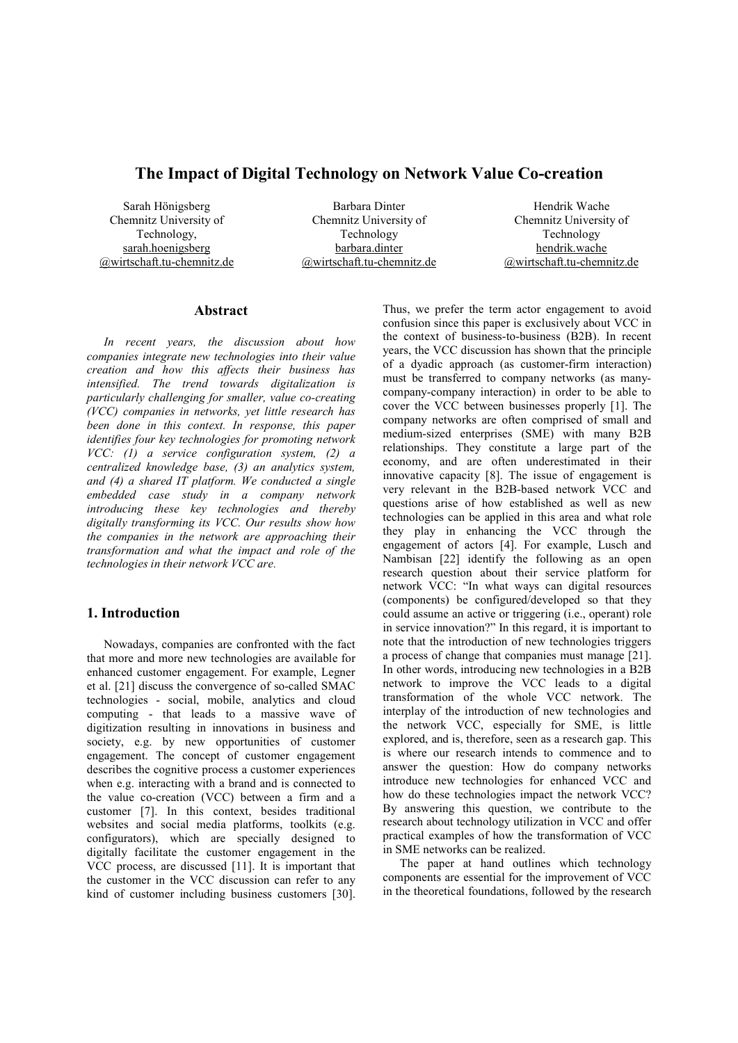# The Impact of Digital Technology on Network Value Co-creation

Sarah Hönigsberg Chemnitz University of Technology, sarah.hoenigsberg @wirtschaft.tu-chemnitz.de

Barbara Dinter Chemnitz University of Technology barbara.dinter @wirtschaft.tu-chemnitz.de

Hendrik Wache Chemnitz University of Technology hendrik.wache @wirtschaft.tu-chemnitz.de

## Abstract

In recent years, the discussion about how companies integrate new technologies into their value creation and how this affects their business has intensified. The trend towards digitalization is particularly challenging for smaller, value co-creating (VCC) companies in networks, yet little research has been done in this context. In response, this paper identifies four key technologies for promoting network  $VCC: (1)$  a service configuration system, (2) a centralized knowledge base, (3) an analytics system, and (4) a shared IT platform. We conducted a single embedded case study in a company network introducing these key technologies and thereby digitally transforming its VCC. Our results show how the companies in the network are approaching their transformation and what the impact and role of the technologies in their network VCC are.

### 1. Introduction

Nowadays, companies are confronted with the fact that more and more new technologies are available for enhanced customer engagement. For example, Legner et al. [21] discuss the convergence of so-called SMAC technologies - social, mobile, analytics and cloud computing - that leads to a massive wave of digitization resulting in innovations in business and society, e.g. by new opportunities of customer engagement. The concept of customer engagement describes the cognitive process a customer experiences when e.g. interacting with a brand and is connected to the value co-creation (VCC) between a firm and a customer [7]. In this context, besides traditional websites and social media platforms, toolkits (e.g. configurators), which are specially designed to digitally facilitate the customer engagement in the VCC process, are discussed [11]. It is important that the customer in the VCC discussion can refer to any kind of customer including business customers [30]. Thus, we prefer the term actor engagement to avoid confusion since this paper is exclusively about VCC in the context of business-to-business (B2B). In recent years, the VCC discussion has shown that the principle of a dyadic approach (as customer-firm interaction) must be transferred to company networks (as manycompany-company interaction) in order to be able to cover the VCC between businesses properly [1]. The company networks are often comprised of small and medium-sized enterprises (SME) with many B2B relationships. They constitute a large part of the economy, and are often underestimated in their innovative capacity [8]. The issue of engagement is very relevant in the B2B-based network VCC and questions arise of how established as well as new technologies can be applied in this area and what role they play in enhancing the VCC through the engagement of actors [4]. For example, Lusch and Nambisan [22] identify the following as an open research question about their service platform for network VCC: "In what ways can digital resources (components) be configured/developed so that they could assume an active or triggering (i.e., operant) role in service innovation?" In this regard, it is important to note that the introduction of new technologies triggers a process of change that companies must manage [21]. In other words, introducing new technologies in a B2B network to improve the VCC leads to a digital transformation of the whole VCC network. The interplay of the introduction of new technologies and the network VCC, especially for SME, is little explored, and is, therefore, seen as a research gap. This is where our research intends to commence and to answer the question: How do company networks introduce new technologies for enhanced VCC and how do these technologies impact the network VCC? By answering this question, we contribute to the research about technology utilization in VCC and offer practical examples of how the transformation of VCC in SME networks can be realized.

The paper at hand outlines which technology components are essential for the improvement of VCC in the theoretical foundations, followed by the research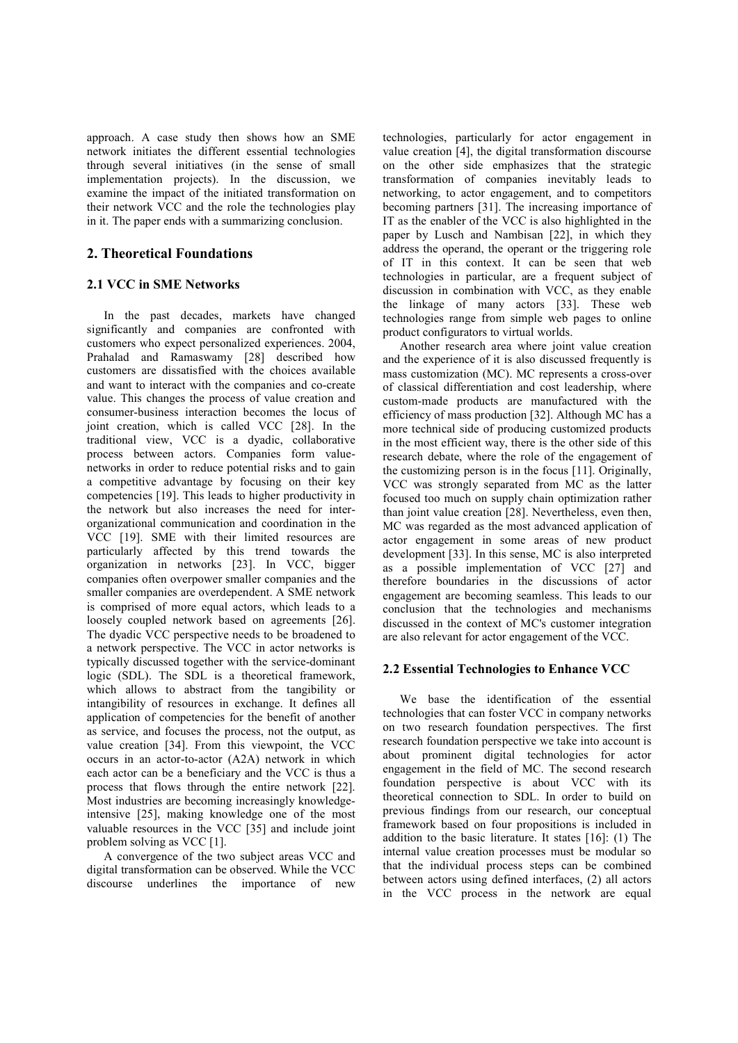approach. A case study then shows how an SME network initiates the different essential technologies through several initiatives (in the sense of small implementation projects). In the discussion, we examine the impact of the initiated transformation on their network VCC and the role the technologies play in it. The paper ends with a summarizing conclusion.

## 2. Theoretical Foundations

### 2.1 VCC in SME Networks

In the past decades, markets have changed significantly and companies are confronted with customers who expect personalized experiences. 2004, Prahalad and Ramaswamy [28] described how customers are dissatisfied with the choices available and want to interact with the companies and co-create value. This changes the process of value creation and consumer-business interaction becomes the locus of joint creation, which is called VCC [28]. In the traditional view, VCC is a dyadic, collaborative process between actors. Companies form valuenetworks in order to reduce potential risks and to gain a competitive advantage by focusing on their key competencies [19]. This leads to higher productivity in the network but also increases the need for interorganizational communication and coordination in the VCC [19]. SME with their limited resources are particularly affected by this trend towards the organization in networks [23]. In VCC, bigger companies often overpower smaller companies and the smaller companies are overdependent. A SME network is comprised of more equal actors, which leads to a loosely coupled network based on agreements [26]. The dyadic VCC perspective needs to be broadened to a network perspective. The VCC in actor networks is typically discussed together with the service-dominant logic (SDL). The SDL is a theoretical framework, which allows to abstract from the tangibility or intangibility of resources in exchange. It defines all application of competencies for the benefit of another as service, and focuses the process, not the output, as value creation [34]. From this viewpoint, the VCC occurs in an actor-to-actor (A2A) network in which each actor can be a beneficiary and the VCC is thus a process that flows through the entire network [22]. Most industries are becoming increasingly knowledgeintensive [25], making knowledge one of the most valuable resources in the VCC [35] and include joint problem solving as VCC [1].

A convergence of the two subject areas VCC and digital transformation can be observed. While the VCC discourse underlines the importance of new

technologies, particularly for actor engagement in value creation [4], the digital transformation discourse on the other side emphasizes that the strategic transformation of companies inevitably leads to networking, to actor engagement, and to competitors becoming partners [31]. The increasing importance of IT as the enabler of the VCC is also highlighted in the paper by Lusch and Nambisan [22], in which they address the operand, the operant or the triggering role of IT in this context. It can be seen that web technologies in particular, are a frequent subject of discussion in combination with VCC, as they enable the linkage of many actors [33]. These web technologies range from simple web pages to online product configurators to virtual worlds.

Another research area where joint value creation and the experience of it is also discussed frequently is mass customization (MC). MC represents a cross-over of classical differentiation and cost leadership, where custom-made products are manufactured with the efficiency of mass production [32]. Although MC has a more technical side of producing customized products in the most efficient way, there is the other side of this research debate, where the role of the engagement of the customizing person is in the focus [11]. Originally, VCC was strongly separated from MC as the latter focused too much on supply chain optimization rather than joint value creation [28]. Nevertheless, even then, MC was regarded as the most advanced application of actor engagement in some areas of new product development [33]. In this sense, MC is also interpreted as a possible implementation of VCC [27] and therefore boundaries in the discussions of actor engagement are becoming seamless. This leads to our conclusion that the technologies and mechanisms discussed in the context of MC's customer integration are also relevant for actor engagement of the VCC.

#### 2.2 Essential Technologies to Enhance VCC

We base the identification of the essential technologies that can foster VCC in company networks on two research foundation perspectives. The first research foundation perspective we take into account is about prominent digital technologies for actor engagement in the field of MC. The second research foundation perspective is about VCC with its theoretical connection to SDL. In order to build on previous findings from our research, our conceptual framework based on four propositions is included in addition to the basic literature. It states [16]: (1) The internal value creation processes must be modular so that the individual process steps can be combined between actors using defined interfaces, (2) all actors in the VCC process in the network are equal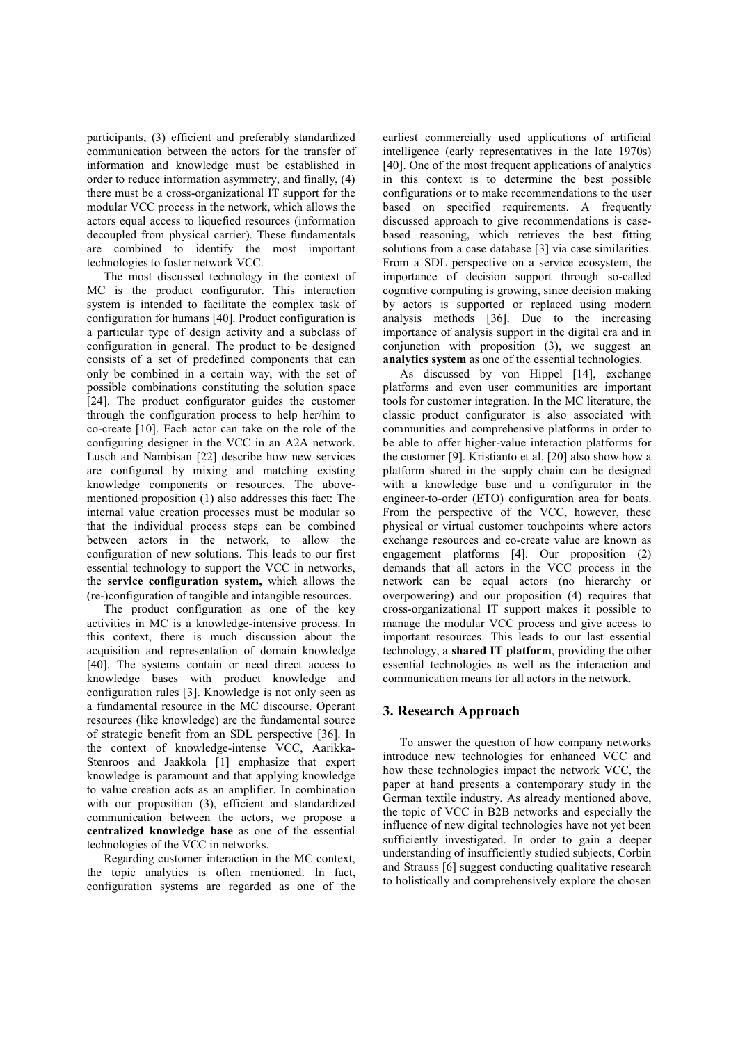participants, (3) efficient and preferably standardized communication between the actors for the transfer of information and knowledge must be established in order to reduce information asymmetry, and finally, (4) there must be a cross-organizational IT support for the modular VCC process in the network, which allows the actors equal access to liquefied resources (information decoupled from physical carrier). These fundamentals are combined to identify the most important technologies to foster network VCC.

The most discussed technology in the context of MC is the product configurator. This interaction system is intended to facilitate the complex task of configuration for humans [40]. Product configuration is a particular type of design activity and a subclass of configuration in general. The product to be designed consists of a set of predefined components that can only be combined in a certain way, with the set of possible combinations constituting the solution space [24]. The product configurator guides the customer through the configuration process to help her/him to co-create [10]. Each actor can take on the role of the configuring designer in the VCC in an A2A network. Lusch and Nambisan [22] describe how new services are configured by mixing and matching existing knowledge components or resources. The abovementioned proposition (1) also addresses this fact: The internal value creation processes must be modular so that the individual process steps can be combined between actors in the network, to allow the configuration of new solutions. This leads to our first essential technology to support the VCC in networks, the service configuration system, which allows the (re-)configuration of tangible and intangible resources.

The product configuration as one of the key activities in MC is a knowledge-intensive process. In this context, there is much discussion about the acquisition and representation of domain knowledge [40]. The systems contain or need direct access to knowledge bases with product knowledge and configuration rules [3]. Knowledge is not only seen as a fundamental resource in the MC discourse. Operant resources (like knowledge) are the fundamental source of strategic benefit from an SDL perspective [36]. In the context of knowledge-intense VCC, Aarikka-Stenroos and Jaakkola [1] emphasize that expert knowledge is paramount and that applying knowledge to value creation acts as an amplifier. In combination with our proposition (3), efficient and standardized communication between the actors, we propose a centralized knowledge base as one of the essential technologies of the VCC in networks.

Regarding customer interaction in the MC context, the topic analytics is often mentioned. In fact, configuration systems are regarded as one of the earliest commercially used applications of artificial intelligence (early representatives in the late 1970s) [40]. One of the most frequent applications of analytics in this context is to determine the best possible configurations or to make recommendations to the user based on specified requirements. A frequently discussed approach to give recommendations is casebased reasoning, which retrieves the best fitting solutions from a case database [3] via case similarities. From a SDL perspective on a service ecosystem, the importance of decision support through so-called cognitive computing is growing, since decision making by actors is supported or replaced using modern analysis methods [36]. Due to the increasing importance of analysis support in the digital era and in conjunction with proposition (3), we suggest an analytics system as one of the essential technologies.

As discussed by von Hippel [14], exchange platforms and even user communities are important tools for customer integration. In the MC literature, the classic product configurator is also associated with communities and comprehensive platforms in order to be able to offer higher-value interaction platforms for the customer [9]. Kristianto et al. [20] also show how a platform shared in the supply chain can be designed with a knowledge base and a configurator in the engineer-to-order (ETO) configuration area for boats. From the perspective of the VCC, however, these physical or virtual customer touchpoints where actors exchange resources and co-create value are known as engagement platforms [4]. Our proposition (2) demands that all actors in the VCC process in the network can be equal actors (no hierarchy or overpowering) and our proposition (4) requires that cross-organizational IT support makes it possible to manage the modular VCC process and give access to important resources. This leads to our last essential technology, a shared IT platform, providing the other essential technologies as well as the interaction and communication means for all actors in the network.

### 3. Research Approach

To answer the question of how company networks introduce new technologies for enhanced VCC and how these technologies impact the network VCC, the paper at hand presents a contemporary study in the German textile industry. As already mentioned above, the topic of VCC in B2B networks and especially the influence of new digital technologies have not yet been sufficiently investigated. In order to gain a deeper understanding of insufficiently studied subjects, Corbin and Strauss [6] suggest conducting qualitative research to holistically and comprehensively explore the chosen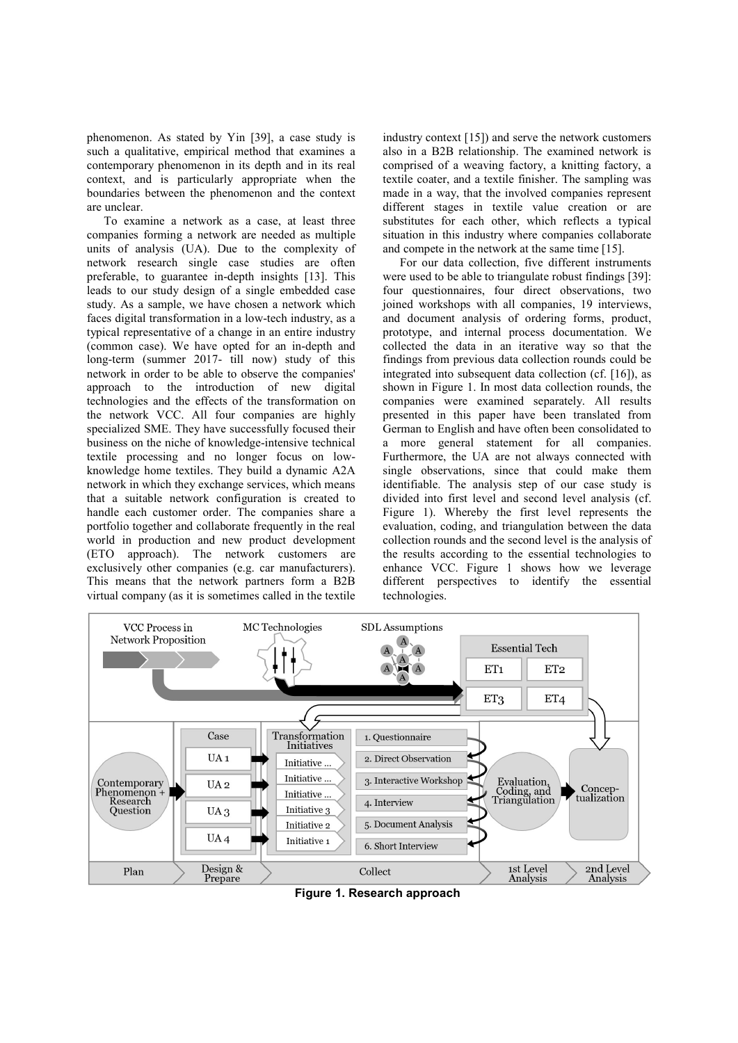phenomenon. As stated by Yin [39], a case study is such a qualitative, empirical method that examines a contemporary phenomenon in its depth and in its real context, and is particularly appropriate when the boundaries between the phenomenon and the context are unclear.

To examine a network as a case, at least three companies forming a network are needed as multiple units of analysis (UA). Due to the complexity of network research single case studies are often preferable, to guarantee in-depth insights [13]. This leads to our study design of a single embedded case study. As a sample, we have chosen a network which faces digital transformation in a low-tech industry, as a typical representative of a change in an entire industry (common case). We have opted for an in-depth and long-term (summer 2017- till now) study of this network in order to be able to observe the companies' approach to the introduction of new digital technologies and the effects of the transformation on the network VCC. All four companies are highly specialized SME. They have successfully focused their business on the niche of knowledge-intensive technical textile processing and no longer focus on lowknowledge home textiles. They build a dynamic A2A network in which they exchange services, which means that a suitable network configuration is created to handle each customer order. The companies share a portfolio together and collaborate frequently in the real world in production and new product development (ETO approach). The network customers are exclusively other companies (e.g. car manufacturers). This means that the network partners form a B2B virtual company (as it is sometimes called in the textile industry context [15]) and serve the network customers also in a B2B relationship. The examined network is comprised of a weaving factory, a knitting factory, a textile coater, and a textile finisher. The sampling was made in a way, that the involved companies represent different stages in textile value creation or are substitutes for each other, which reflects a typical situation in this industry where companies collaborate and compete in the network at the same time [15].

For our data collection, five different instruments were used to be able to triangulate robust findings [39]: four questionnaires, four direct observations, two joined workshops with all companies, 19 interviews, and document analysis of ordering forms, product, prototype, and internal process documentation. We collected the data in an iterative way so that the findings from previous data collection rounds could be integrated into subsequent data collection (cf. [16]), as shown in Figure 1. In most data collection rounds, the companies were examined separately. All results presented in this paper have been translated from German to English and have often been consolidated to a more general statement for all companies. Furthermore, the UA are not always connected with single observations, since that could make them identifiable. The analysis step of our case study is divided into first level and second level analysis (cf. Figure 1). Whereby the first level represents the evaluation, coding, and triangulation between the data collection rounds and the second level is the analysis of the results according to the essential technologies to enhance VCC. Figure 1 shows how we leverage different perspectives to identify the essential technologies.



Figure 1. Research approach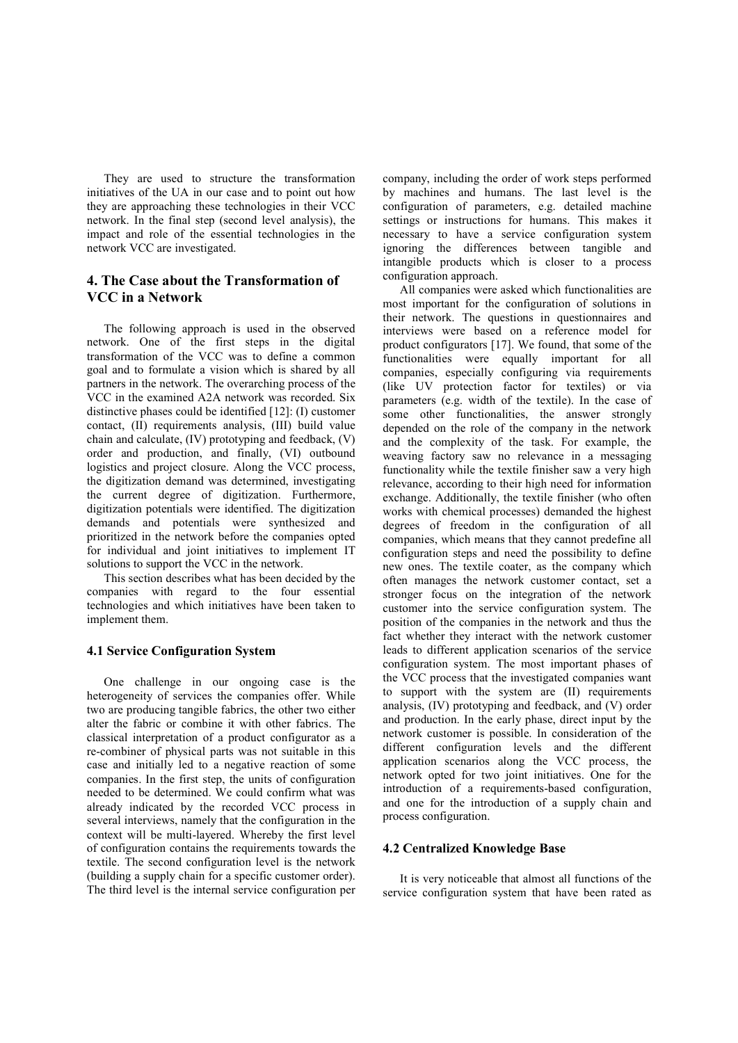They are used to structure the transformation initiatives of the UA in our case and to point out how they are approaching these technologies in their VCC network. In the final step (second level analysis), the impact and role of the essential technologies in the network VCC are investigated.

# 4. The Case about the Transformation of VCC in a Network

The following approach is used in the observed network. One of the first steps in the digital transformation of the VCC was to define a common goal and to formulate a vision which is shared by all partners in the network. The overarching process of the VCC in the examined A2A network was recorded. Six distinctive phases could be identified [12]: (I) customer contact, (II) requirements analysis, (III) build value chain and calculate, (IV) prototyping and feedback, (V) order and production, and finally, (VI) outbound logistics and project closure. Along the VCC process, the digitization demand was determined, investigating the current degree of digitization. Furthermore, digitization potentials were identified. The digitization demands and potentials were synthesized and prioritized in the network before the companies opted for individual and joint initiatives to implement IT solutions to support the VCC in the network.

This section describes what has been decided by the companies with regard to the four essential technologies and which initiatives have been taken to implement them.

#### 4.1 Service Configuration System

One challenge in our ongoing case is the heterogeneity of services the companies offer. While two are producing tangible fabrics, the other two either alter the fabric or combine it with other fabrics. The classical interpretation of a product configurator as a re-combiner of physical parts was not suitable in this case and initially led to a negative reaction of some companies. In the first step, the units of configuration needed to be determined. We could confirm what was already indicated by the recorded VCC process in several interviews, namely that the configuration in the context will be multi-layered. Whereby the first level of configuration contains the requirements towards the textile. The second configuration level is the network (building a supply chain for a specific customer order). The third level is the internal service configuration per company, including the order of work steps performed by machines and humans. The last level is the configuration of parameters, e.g. detailed machine settings or instructions for humans. This makes it necessary to have a service configuration system ignoring the differences between tangible and intangible products which is closer to a process configuration approach.

All companies were asked which functionalities are most important for the configuration of solutions in their network. The questions in questionnaires and interviews were based on a reference model for product configurators [17]. We found, that some of the functionalities were equally important for all companies, especially configuring via requirements (like UV protection factor for textiles) or via parameters (e.g. width of the textile). In the case of some other functionalities, the answer strongly depended on the role of the company in the network and the complexity of the task. For example, the weaving factory saw no relevance in a messaging functionality while the textile finisher saw a very high relevance, according to their high need for information exchange. Additionally, the textile finisher (who often works with chemical processes) demanded the highest degrees of freedom in the configuration of all companies, which means that they cannot predefine all configuration steps and need the possibility to define new ones. The textile coater, as the company which often manages the network customer contact, set a stronger focus on the integration of the network customer into the service configuration system. The position of the companies in the network and thus the fact whether they interact with the network customer leads to different application scenarios of the service configuration system. The most important phases of the VCC process that the investigated companies want to support with the system are (II) requirements analysis, (IV) prototyping and feedback, and (V) order and production. In the early phase, direct input by the network customer is possible. In consideration of the different configuration levels and the different application scenarios along the VCC process, the network opted for two joint initiatives. One for the introduction of a requirements-based configuration, and one for the introduction of a supply chain and process configuration.

#### 4.2 Centralized Knowledge Base

It is very noticeable that almost all functions of the service configuration system that have been rated as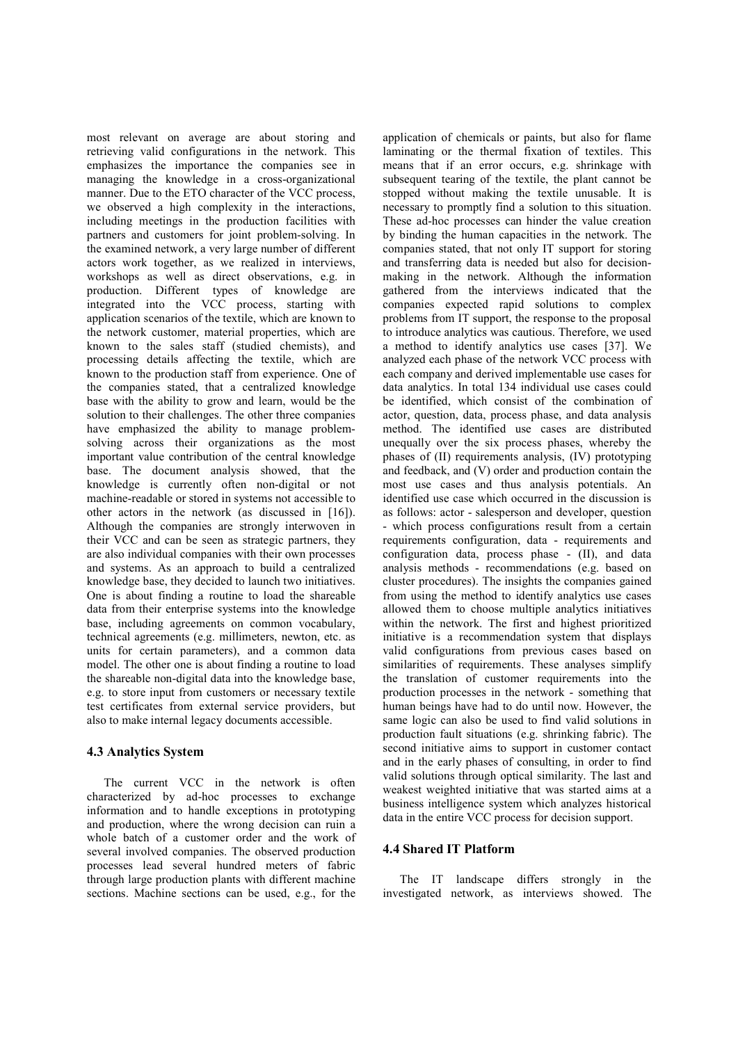most relevant on average are about storing and retrieving valid configurations in the network. This emphasizes the importance the companies see in managing the knowledge in a cross-organizational manner. Due to the ETO character of the VCC process, we observed a high complexity in the interactions, including meetings in the production facilities with partners and customers for joint problem-solving. In the examined network, a very large number of different actors work together, as we realized in interviews, workshops as well as direct observations, e.g. in production. Different types of knowledge are integrated into the VCC process, starting with application scenarios of the textile, which are known to the network customer, material properties, which are known to the sales staff (studied chemists), and processing details affecting the textile, which are known to the production staff from experience. One of the companies stated, that a centralized knowledge base with the ability to grow and learn, would be the solution to their challenges. The other three companies have emphasized the ability to manage problemsolving across their organizations as the most important value contribution of the central knowledge base. The document analysis showed, that the knowledge is currently often non-digital or not machine-readable or stored in systems not accessible to other actors in the network (as discussed in [16]). Although the companies are strongly interwoven in their VCC and can be seen as strategic partners, they are also individual companies with their own processes and systems. As an approach to build a centralized knowledge base, they decided to launch two initiatives. One is about finding a routine to load the shareable data from their enterprise systems into the knowledge base, including agreements on common vocabulary, technical agreements (e.g. millimeters, newton, etc. as units for certain parameters), and a common data model. The other one is about finding a routine to load the shareable non-digital data into the knowledge base, e.g. to store input from customers or necessary textile test certificates from external service providers, but also to make internal legacy documents accessible.

### 4.3 Analytics System

The current VCC in the network is often characterized by ad-hoc processes to exchange information and to handle exceptions in prototyping and production, where the wrong decision can ruin a whole batch of a customer order and the work of several involved companies. The observed production processes lead several hundred meters of fabric through large production plants with different machine sections. Machine sections can be used, e.g., for the

application of chemicals or paints, but also for flame laminating or the thermal fixation of textiles. This means that if an error occurs, e.g. shrinkage with subsequent tearing of the textile, the plant cannot be stopped without making the textile unusable. It is necessary to promptly find a solution to this situation. These ad-hoc processes can hinder the value creation by binding the human capacities in the network. The companies stated, that not only IT support for storing and transferring data is needed but also for decisionmaking in the network. Although the information gathered from the interviews indicated that the companies expected rapid solutions to complex problems from IT support, the response to the proposal to introduce analytics was cautious. Therefore, we used a method to identify analytics use cases [37]. We analyzed each phase of the network VCC process with each company and derived implementable use cases for data analytics. In total 134 individual use cases could be identified, which consist of the combination of actor, question, data, process phase, and data analysis method. The identified use cases are distributed unequally over the six process phases, whereby the phases of (II) requirements analysis, (IV) prototyping and feedback, and (V) order and production contain the most use cases and thus analysis potentials. An identified use case which occurred in the discussion is as follows: actor - salesperson and developer, question - which process configurations result from a certain requirements configuration, data - requirements and configuration data, process phase - (II), and data analysis methods - recommendations (e.g. based on cluster procedures). The insights the companies gained from using the method to identify analytics use cases allowed them to choose multiple analytics initiatives within the network. The first and highest prioritized initiative is a recommendation system that displays valid configurations from previous cases based on similarities of requirements. These analyses simplify the translation of customer requirements into the production processes in the network - something that human beings have had to do until now. However, the same logic can also be used to find valid solutions in production fault situations (e.g. shrinking fabric). The second initiative aims to support in customer contact and in the early phases of consulting, in order to find valid solutions through optical similarity. The last and weakest weighted initiative that was started aims at a business intelligence system which analyzes historical data in the entire VCC process for decision support.

## 4.4 Shared IT Platform

The IT landscape differs strongly in the investigated network, as interviews showed. The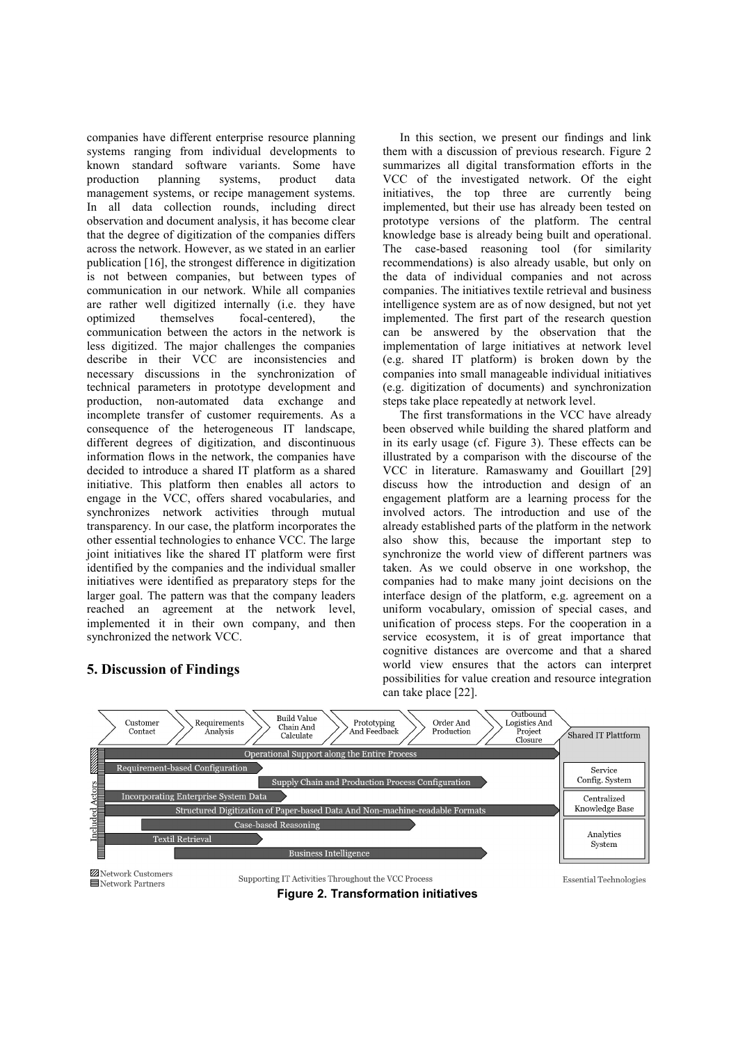companies have different enterprise resource planning systems ranging from individual developments to known standard software variants. Some have production planning systems, product data management systems, or recipe management systems. In all data collection rounds, including direct observation and document analysis, it has become clear that the degree of digitization of the companies differs across the network. However, as we stated in an earlier publication [16], the strongest difference in digitization is not between companies, but between types of communication in our network. While all companies are rather well digitized internally (i.e. they have optimized themselves focal-centered), the communication between the actors in the network is less digitized. The major challenges the companies describe in their VCC are inconsistencies and necessary discussions in the synchronization of technical parameters in prototype development and production, non-automated data exchange and incomplete transfer of customer requirements. As a consequence of the heterogeneous IT landscape, different degrees of digitization, and discontinuous information flows in the network, the companies have decided to introduce a shared IT platform as a shared initiative. This platform then enables all actors to engage in the VCC, offers shared vocabularies, and synchronizes network activities through mutual transparency. In our case, the platform incorporates the other essential technologies to enhance VCC. The large joint initiatives like the shared IT platform were first identified by the companies and the individual smaller initiatives were identified as preparatory steps for the larger goal. The pattern was that the company leaders reached an agreement at the network level, implemented it in their own company, and then synchronized the network VCC.

# 5. Discussion of Findings

In this section, we present our findings and link them with a discussion of previous research. Figure 2 summarizes all digital transformation efforts in the VCC of the investigated network. Of the eight initiatives, the top three are currently being implemented, but their use has already been tested on prototype versions of the platform. The central knowledge base is already being built and operational. The case-based reasoning tool (for similarity recommendations) is also already usable, but only on the data of individual companies and not across companies. The initiatives textile retrieval and business intelligence system are as of now designed, but not yet implemented. The first part of the research question can be answered by the observation that the implementation of large initiatives at network level (e.g. shared IT platform) is broken down by the companies into small manageable individual initiatives (e.g. digitization of documents) and synchronization steps take place repeatedly at network level.

The first transformations in the VCC have already been observed while building the shared platform and in its early usage (cf. Figure 3). These effects can be illustrated by a comparison with the discourse of the VCC in literature. Ramaswamy and Gouillart [29] discuss how the introduction and design of an engagement platform are a learning process for the involved actors. The introduction and use of the already established parts of the platform in the network also show this, because the important step to synchronize the world view of different partners was taken. As we could observe in one workshop, the companies had to make many joint decisions on the interface design of the platform, e.g. agreement on a uniform vocabulary, omission of special cases, and unification of process steps. For the cooperation in a service ecosystem, it is of great importance that cognitive distances are overcome and that a shared world view ensures that the actors can interpret possibilities for value creation and resource integration can take place [22].

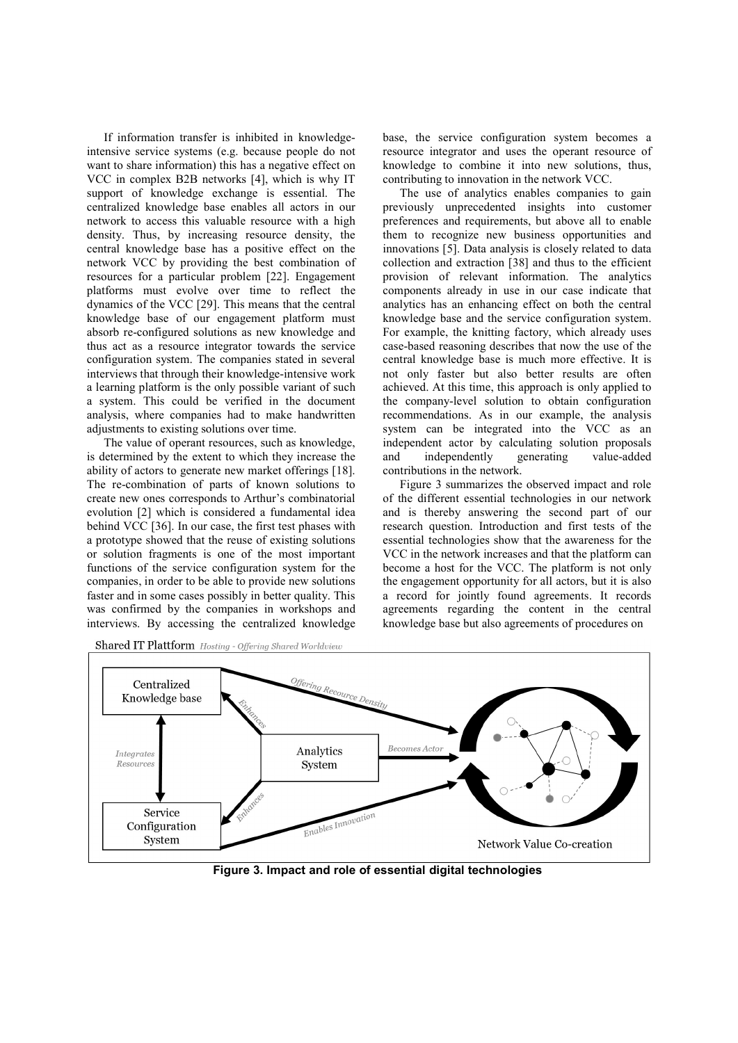If information transfer is inhibited in knowledgeintensive service systems (e.g. because people do not want to share information) this has a negative effect on VCC in complex B2B networks [4], which is why IT support of knowledge exchange is essential. The centralized knowledge base enables all actors in our network to access this valuable resource with a high density. Thus, by increasing resource density, the central knowledge base has a positive effect on the network VCC by providing the best combination of resources for a particular problem [22]. Engagement platforms must evolve over time to reflect the dynamics of the VCC [29]. This means that the central knowledge base of our engagement platform must absorb re-configured solutions as new knowledge and thus act as a resource integrator towards the service configuration system. The companies stated in several interviews that through their knowledge-intensive work a learning platform is the only possible variant of such a system. This could be verified in the document analysis, where companies had to make handwritten adjustments to existing solutions over time.

The value of operant resources, such as knowledge, is determined by the extent to which they increase the ability of actors to generate new market offerings [18]. The re-combination of parts of known solutions to create new ones corresponds to Arthur's combinatorial evolution [2] which is considered a fundamental idea behind VCC [36]. In our case, the first test phases with a prototype showed that the reuse of existing solutions or solution fragments is one of the most important functions of the service configuration system for the companies, in order to be able to provide new solutions faster and in some cases possibly in better quality. This was confirmed by the companies in workshops and interviews. By accessing the centralized knowledge

base, the service configuration system becomes a resource integrator and uses the operant resource of knowledge to combine it into new solutions, thus, contributing to innovation in the network VCC.

The use of analytics enables companies to gain previously unprecedented insights into customer preferences and requirements, but above all to enable them to recognize new business opportunities and innovations [5]. Data analysis is closely related to data collection and extraction [38] and thus to the efficient provision of relevant information. The analytics components already in use in our case indicate that analytics has an enhancing effect on both the central knowledge base and the service configuration system. For example, the knitting factory, which already uses case-based reasoning describes that now the use of the central knowledge base is much more effective. It is not only faster but also better results are often achieved. At this time, this approach is only applied to the company-level solution to obtain configuration recommendations. As in our example, the analysis system can be integrated into the VCC as an independent actor by calculating solution proposals and independently generating value-added contributions in the network.

Figure 3 summarizes the observed impact and role of the different essential technologies in our network and is thereby answering the second part of our research question. Introduction and first tests of the essential technologies show that the awareness for the VCC in the network increases and that the platform can become a host for the VCC. The platform is not only the engagement opportunity for all actors, but it is also a record for jointly found agreements. It records agreements regarding the content in the central knowledge base but also agreements of procedures on



**Shared IT Plattform** Hosting - Offering Shared Worldview

Figure 3. Impact and role of essential digital technologies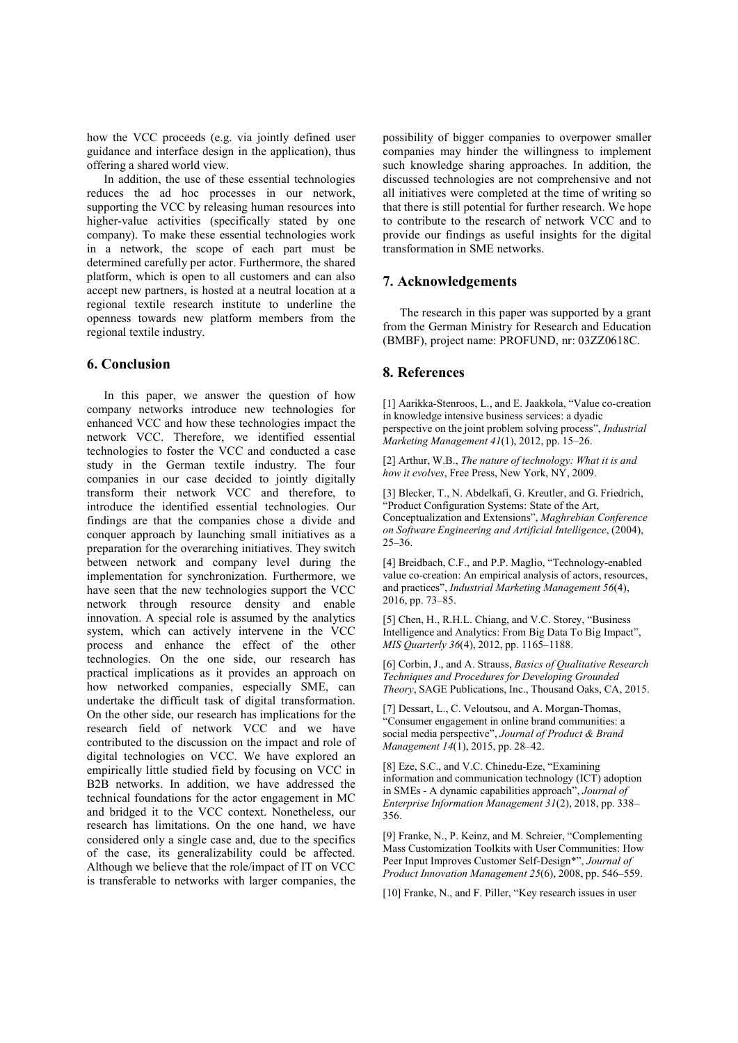how the VCC proceeds (e.g. via jointly defined user guidance and interface design in the application), thus offering a shared world view.

In addition, the use of these essential technologies reduces the ad hoc processes in our network, supporting the VCC by releasing human resources into higher-value activities (specifically stated by one company). To make these essential technologies work in a network, the scope of each part must be determined carefully per actor. Furthermore, the shared platform, which is open to all customers and can also accept new partners, is hosted at a neutral location at a regional textile research institute to underline the openness towards new platform members from the regional textile industry.

#### 6. Conclusion

In this paper, we answer the question of how company networks introduce new technologies for enhanced VCC and how these technologies impact the network VCC. Therefore, we identified essential technologies to foster the VCC and conducted a case study in the German textile industry. The four companies in our case decided to jointly digitally transform their network VCC and therefore, to introduce the identified essential technologies. Our findings are that the companies chose a divide and conquer approach by launching small initiatives as a preparation for the overarching initiatives. They switch between network and company level during the implementation for synchronization. Furthermore, we have seen that the new technologies support the VCC network through resource density and enable innovation. A special role is assumed by the analytics system, which can actively intervene in the VCC process and enhance the effect of the other technologies. On the one side, our research has practical implications as it provides an approach on how networked companies, especially SME, can undertake the difficult task of digital transformation. On the other side, our research has implications for the research field of network VCC and we have contributed to the discussion on the impact and role of digital technologies on VCC. We have explored an empirically little studied field by focusing on VCC in B2B networks. In addition, we have addressed the technical foundations for the actor engagement in MC and bridged it to the VCC context. Nonetheless, our research has limitations. On the one hand, we have considered only a single case and, due to the specifics of the case, its generalizability could be affected. Although we believe that the role/impact of IT on VCC is transferable to networks with larger companies, the

possibility of bigger companies to overpower smaller companies may hinder the willingness to implement such knowledge sharing approaches. In addition, the discussed technologies are not comprehensive and not all initiatives were completed at the time of writing so that there is still potential for further research. We hope to contribute to the research of network VCC and to provide our findings as useful insights for the digital transformation in SME networks.

#### 7. Acknowledgements

The research in this paper was supported by a grant from the German Ministry for Research and Education (BMBF), project name: PROFUND, nr: 03ZZ0618C.

### 8. References

[1] Aarikka-Stenroos, L., and E. Jaakkola, "Value co-creation in knowledge intensive business services: a dyadic perspective on the joint problem solving process", Industrial Marketing Management 41(1), 2012, pp. 15–26.

[2] Arthur, W.B., The nature of technology: What it is and how it evolves, Free Press, New York, NY, 2009.

[3] Blecker, T., N. Abdelkafi, G. Kreutler, and G. Friedrich, "Product Configuration Systems: State of the Art, Conceptualization and Extensions", Maghrebian Conference on Software Engineering and Artificial Intelligence, (2004), 25–36.

[4] Breidbach, C.F., and P.P. Maglio, "Technology-enabled value co-creation: An empirical analysis of actors, resources, and practices", Industrial Marketing Management 56(4), 2016, pp. 73–85.

[5] Chen, H., R.H.L. Chiang, and V.C. Storey, "Business" Intelligence and Analytics: From Big Data To Big Impact", MIS Quarterly 36(4), 2012, pp. 1165–1188.

[6] Corbin, J., and A. Strauss, Basics of Qualitative Research Techniques and Procedures for Developing Grounded Theory, SAGE Publications, Inc., Thousand Oaks, CA, 2015.

[7] Dessart, L., C. Veloutsou, and A. Morgan-Thomas, "Consumer engagement in online brand communities: a social media perspective", Journal of Product & Brand Management 14(1), 2015, pp. 28–42.

[8] Eze, S.C., and V.C. Chinedu-Eze, "Examining information and communication technology (ICT) adoption in SMEs - A dynamic capabilities approach", Journal of Enterprise Information Management 31(2), 2018, pp. 338– 356.

[9] Franke, N., P. Keinz, and M. Schreier, "Complementing Mass Customization Toolkits with User Communities: How Peer Input Improves Customer Self-Design\*", Journal of Product Innovation Management 25(6), 2008, pp. 546–559.

[10] Franke, N., and F. Piller, "Key research issues in user